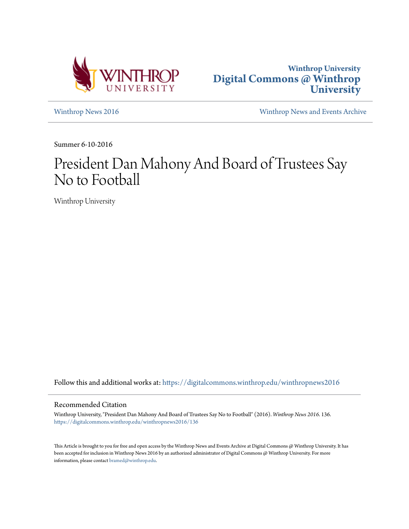



[Winthrop News 2016](https://digitalcommons.winthrop.edu/winthropnews2016?utm_source=digitalcommons.winthrop.edu%2Fwinthropnews2016%2F136&utm_medium=PDF&utm_campaign=PDFCoverPages) [Winthrop News and Events Archive](https://digitalcommons.winthrop.edu/winthropnewsarchives?utm_source=digitalcommons.winthrop.edu%2Fwinthropnews2016%2F136&utm_medium=PDF&utm_campaign=PDFCoverPages)

Summer 6-10-2016

## President Dan Mahony And Board of Trustees Say No to Football

Winthrop University

Follow this and additional works at: [https://digitalcommons.winthrop.edu/winthropnews2016](https://digitalcommons.winthrop.edu/winthropnews2016?utm_source=digitalcommons.winthrop.edu%2Fwinthropnews2016%2F136&utm_medium=PDF&utm_campaign=PDFCoverPages)

## Recommended Citation

Winthrop University, "President Dan Mahony And Board of Trustees Say No to Football" (2016). *Winthrop News 2016*. 136. [https://digitalcommons.winthrop.edu/winthropnews2016/136](https://digitalcommons.winthrop.edu/winthropnews2016/136?utm_source=digitalcommons.winthrop.edu%2Fwinthropnews2016%2F136&utm_medium=PDF&utm_campaign=PDFCoverPages)

This Article is brought to you for free and open access by the Winthrop News and Events Archive at Digital Commons @ Winthrop University. It has been accepted for inclusion in Winthrop News 2016 by an authorized administrator of Digital Commons @ Winthrop University. For more information, please contact [bramed@winthrop.edu](mailto:bramed@winthrop.edu).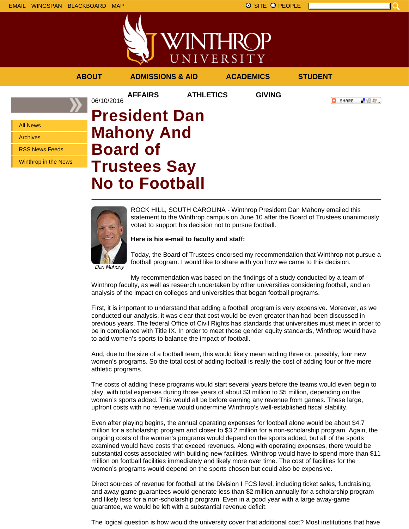



| <b>ABOUT</b>                                                                               | <b>ADMISSIONS &amp; AID</b>                                                                                  |                  | <b>ACADEMICS</b> | <b>STUDENT</b>     |
|--------------------------------------------------------------------------------------------|--------------------------------------------------------------------------------------------------------------|------------------|------------------|--------------------|
| 06/10/2016                                                                                 | <b>AFFAIRS</b>                                                                                               | <b>ATHLETICS</b> | <b>GIVING</b>    | 「验費」<br>o<br>SHARE |
| <b>All News</b><br><b>Archives</b><br><b>RSS News Feeds</b><br><b>Winthrop in the News</b> | <b>President Dan</b><br><b>Mahony And</b><br><b>Board of</b><br><b>Trustees Say</b><br><b>No to Football</b> |                  |                  |                    |



ROCK HILL, SOUTH CAROLINA - Winthrop President Dan Mahony emailed this statement to the Winthrop campus on June 10 after the Board of Trustees unanimously voted to support his decision not to pursue football.

## **Here is his e-mail to faculty and staff:**

Today, the Board of Trustees endorsed my recommendation that Winthrop not pursue a football program. I would like to share with you how we came to this decision.

My recommendation was based on the findings of a study conducted by a team of Winthrop faculty, as well as research undertaken by other universities considering football, and an analysis of the impact on colleges and universities that began football programs.

First, it is important to understand that adding a football program is very expensive. Moreover, as we conducted our analysis, it was clear that cost would be even greater than had been discussed in previous years. The federal Office of Civil Rights has standards that universities must meet in order to be in compliance with Title IX. In order to meet those gender equity standards, Winthrop would have to add women's sports to balance the impact of football.

And, due to the size of a football team, this would likely mean adding three or, possibly, four new women's programs. So the total cost of adding football is really the cost of adding four or five more athletic programs.

The costs of adding these programs would start several years before the teams would even begin to play, with total expenses during those years of about \$3 million to \$5 million, depending on the women's sports added. This would all be before earning any revenue from games. These large, upfront costs with no revenue would undermine Winthrop's well-established fiscal stability.

Even after playing begins, the annual operating expenses for football alone would be about \$4.7 million for a scholarship program and closer to \$3.2 million for a non-scholarship program. Again, the ongoing costs of the women's programs would depend on the sports added, but all of the sports examined would have costs that exceed revenues. Along with operating expenses, there would be substantial costs associated with building new facilities. Winthrop would have to spend more than \$11 million on football facilities immediately and likely more over time. The cost of facilities for the women's programs would depend on the sports chosen but could also be expensive.

Direct sources of revenue for football at the Division I FCS level, including ticket sales, fundraising, and away game guarantees would generate less than \$2 million annually for a scholarship program and likely less for a non-scholarship program. Even in a good year with a large away-game guarantee, we would be left with a substantial revenue deficit.

The logical question is how would the university cover that additional cost? Most institutions that have